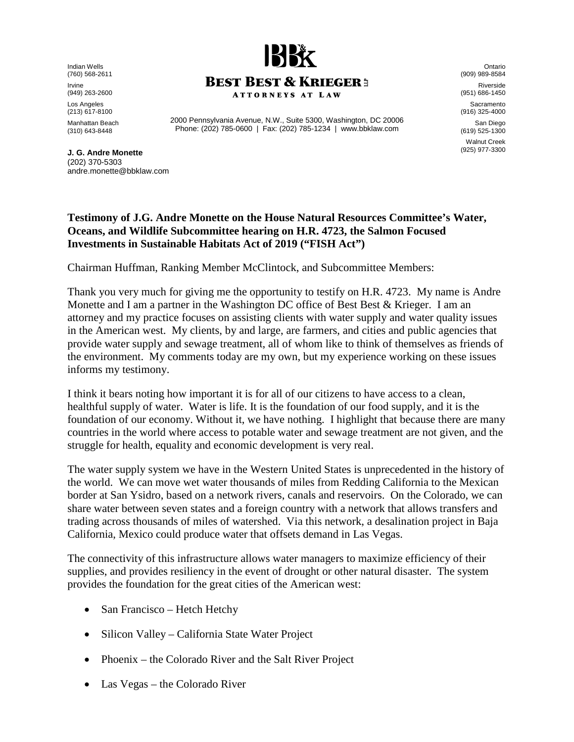Indian Wells (760) 568-2611 Irvine

(949) 263-2600

Los Angeles (213) 617-8100

Manhattan Beach (310) 643-8448

**J. G. Andre Monette**  (202) 370-5303 andre.monette@bbklaw.com



2000 Pennsylvania Avenue, N.W., Suite 5300, Washington, DC 20006 Phone: (202) 785-0600 | Fax: (202) 785-1234 | www.bbklaw.com

Ontario (909) 989-8584 Riverside (951) 686-1450 Sacramento (916) 325-4000 San Diego (619) 525-1300 Walnut Creek (925) 977-3300

## **Testimony of J.G. Andre Monette on the House Natural Resources Committee's Water,**

Chairman Huffman, Ranking Member McClintock, and Subcommittee Members:

**Investments in Sustainable Habitats Act of 2019 ("FISH Act")** 

**Oceans, and Wildlife Subcommittee hearing on H.R. 4723, the Salmon Focused** 

Thank you very much for giving me the opportunity to testify on H.R. 4723. My name is Andre Monette and I am a partner in the Washington DC office of Best Best & Krieger. I am an attorney and my practice focuses on assisting clients with water supply and water quality issues in the American west. My clients, by and large, are farmers, and cities and public agencies that provide water supply and sewage treatment, all of whom like to think of themselves as friends of the environment. My comments today are my own, but my experience working on these issues informs my testimony.

I think it bears noting how important it is for all of our citizens to have access to a clean, healthful supply of water. Water is life. It is the foundation of our food supply, and it is the foundation of our economy. Without it, we have nothing. I highlight that because there are many countries in the world where access to potable water and sewage treatment are not given, and the struggle for health, equality and economic development is very real.

The water supply system we have in the Western United States is unprecedented in the history of the world. We can move wet water thousands of miles from Redding California to the Mexican border at San Ysidro, based on a network rivers, canals and reservoirs. On the Colorado, we can share water between seven states and a foreign country with a network that allows transfers and trading across thousands of miles of watershed. Via this network, a desalination project in Baja California, Mexico could produce water that offsets demand in Las Vegas.

The connectivity of this infrastructure allows water managers to maximize efficiency of their supplies, and provides resiliency in the event of drought or other natural disaster. The system provides the foundation for the great cities of the American west:

- San Francisco Hetch Hetchy
- Silicon Valley California State Water Project
- Phoenix the Colorado River and the Salt River Project
- Las Vegas the Colorado River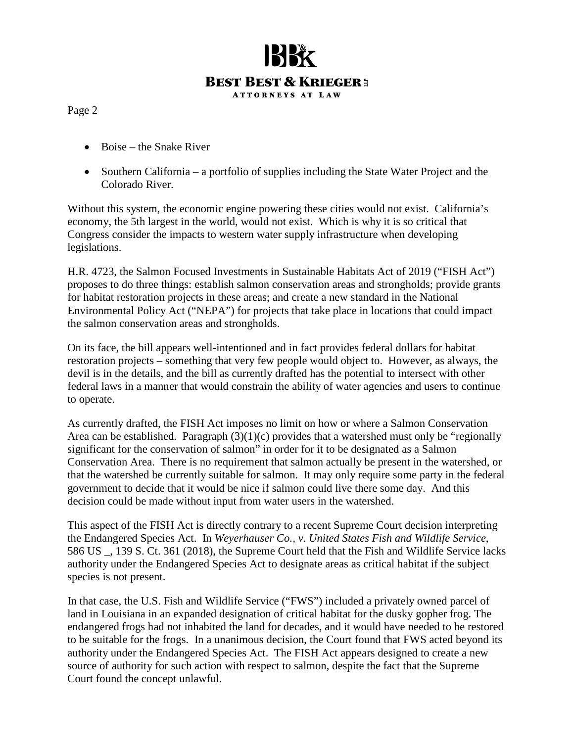

Page 2

- Boise the Snake River
- Southern California a portfolio of supplies including the State Water Project and the Colorado River.

Without this system, the economic engine powering these cities would not exist. California's economy, the 5th largest in the world, would not exist. Which is why it is so critical that Congress consider the impacts to western water supply infrastructure when developing legislations.

H.R. 4723, the Salmon Focused Investments in Sustainable Habitats Act of 2019 ("FISH Act") proposes to do three things: establish salmon conservation areas and strongholds; provide grants for habitat restoration projects in these areas; and create a new standard in the National Environmental Policy Act ("NEPA") for projects that take place in locations that could impact the salmon conservation areas and strongholds.

On its face, the bill appears well-intentioned and in fact provides federal dollars for habitat restoration projects – something that very few people would object to. However, as always, the devil is in the details, and the bill as currently drafted has the potential to intersect with other federal laws in a manner that would constrain the ability of water agencies and users to continue to operate.

As currently drafted, the FISH Act imposes no limit on how or where a Salmon Conservation Area can be established. Paragraph  $(3)(1)(c)$  provides that a watershed must only be "regionally significant for the conservation of salmon" in order for it to be designated as a Salmon Conservation Area. There is no requirement that salmon actually be present in the watershed, or that the watershed be currently suitable for salmon. It may only require some party in the federal government to decide that it would be nice if salmon could live there some day. And this decision could be made without input from water users in the watershed.

This aspect of the FISH Act is directly contrary to a recent Supreme Court decision interpreting the Endangered Species Act. In *Weyerhauser Co., v. United States Fish and Wildlife Service*, 586 US \_, 139 S. Ct. 361 (2018), the Supreme Court held that the Fish and Wildlife Service lacks authority under the Endangered Species Act to designate areas as critical habitat if the subject species is not present.

In that case, the U.S. Fish and Wildlife Service ("FWS") included a privately owned parcel of land in Louisiana in an expanded designation of critical habitat for the dusky gopher frog. The endangered frogs had not inhabited the land for decades, and it would have needed to be restored to be suitable for the frogs. In a unanimous decision, the Court found that FWS acted beyond its authority under the Endangered Species Act. The FISH Act appears designed to create a new source of authority for such action with respect to salmon, despite the fact that the Supreme Court found the concept unlawful.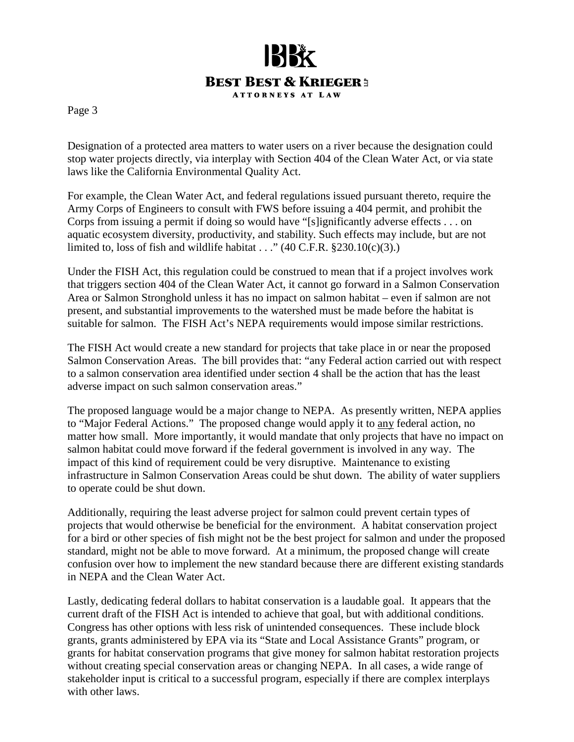

Page 3

Designation of a protected area matters to water users on a river because the designation could stop water projects directly, via interplay with Section 404 of the Clean Water Act, or via state laws like the California Environmental Quality Act.

For example, the Clean Water Act, and federal regulations issued pursuant thereto, require the Army Corps of Engineers to consult with FWS before issuing a 404 permit, and prohibit the Corps from issuing a permit if doing so would have "[s]ignificantly adverse effects . . . on aquatic ecosystem diversity, productivity, and stability. Such effects may include, but are not limited to, loss of fish and wildlife habitat . . ." (40 C.F.R.  $$230.10(c)(3)$ .)

Under the FISH Act, this regulation could be construed to mean that if a project involves work that triggers section 404 of the Clean Water Act, it cannot go forward in a Salmon Conservation Area or Salmon Stronghold unless it has no impact on salmon habitat – even if salmon are not present, and substantial improvements to the watershed must be made before the habitat is suitable for salmon. The FISH Act's NEPA requirements would impose similar restrictions.

The FISH Act would create a new standard for projects that take place in or near the proposed Salmon Conservation Areas. The bill provides that: "any Federal action carried out with respect to a salmon conservation area identified under section 4 shall be the action that has the least adverse impact on such salmon conservation areas."

The proposed language would be a major change to NEPA. As presently written, NEPA applies to "Major Federal Actions." The proposed change would apply it to any federal action, no matter how small. More importantly, it would mandate that only projects that have no impact on salmon habitat could move forward if the federal government is involved in any way. The impact of this kind of requirement could be very disruptive. Maintenance to existing infrastructure in Salmon Conservation Areas could be shut down. The ability of water suppliers to operate could be shut down.

Additionally, requiring the least adverse project for salmon could prevent certain types of projects that would otherwise be beneficial for the environment. A habitat conservation project for a bird or other species of fish might not be the best project for salmon and under the proposed standard, might not be able to move forward. At a minimum, the proposed change will create confusion over how to implement the new standard because there are different existing standards in NEPA and the Clean Water Act.

Lastly, dedicating federal dollars to habitat conservation is a laudable goal. It appears that the current draft of the FISH Act is intended to achieve that goal, but with additional conditions. Congress has other options with less risk of unintended consequences. These include block grants, grants administered by EPA via its "State and Local Assistance Grants" program, or grants for habitat conservation programs that give money for salmon habitat restoration projects without creating special conservation areas or changing NEPA. In all cases, a wide range of stakeholder input is critical to a successful program, especially if there are complex interplays with other laws.